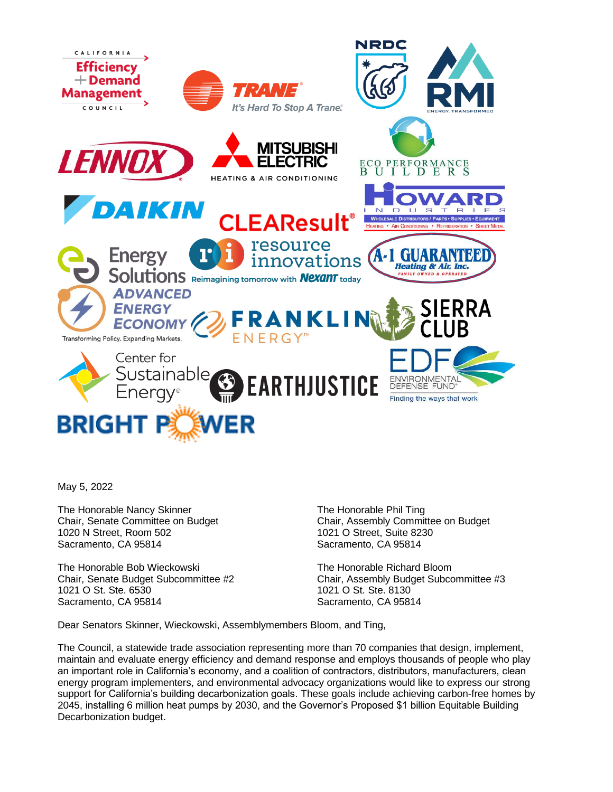

May 5, 2022

The Honorable Nancy Skinner Chair, Senate Committee on Budget 1020 N Street, Room 502 Sacramento, CA 95814

The Honorable Bob Wieckowski Chair, Senate Budget Subcommittee #2 1021 O St. Ste. 6530 Sacramento, CA 95814

The Honorable Phil Ting Chair, Assembly Committee on Budget 1021 O Street, Suite 8230 Sacramento, CA 95814

The Honorable Richard Bloom Chair, Assembly Budget Subcommittee #3 1021 O St. Ste. 8130 Sacramento, CA 95814

Dear Senators Skinner, Wieckowski, Assemblymembers Bloom, and Ting,

The Council, a statewide trade association representing more than 70 companies that design, implement, maintain and evaluate energy efficiency and demand response and employs thousands of people who play an important role in California's economy, and a coalition of contractors, distributors, manufacturers, clean energy program implementers, and environmental advocacy organizations would like to express our strong support for California's building decarbonization goals. These goals include achieving carbon-free homes by 2045, installing 6 million heat pumps by 2030, and the Governor's Proposed \$1 billion Equitable Building Decarbonization budget.